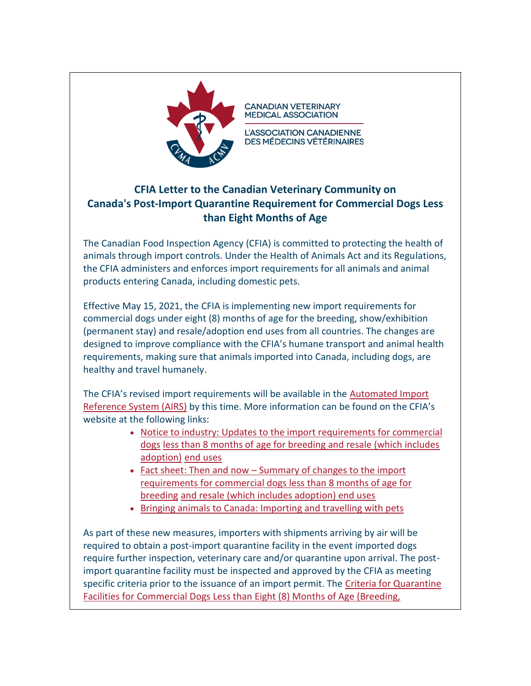

**CANADIAN VETERINARY MEDICAL ASSOCIATION** 

L'ASSOCIATION CANADIENNE **DES MÉDECINS VÉTÉRINAIRES** 

## **CFIA Letter to the Canadian Veterinary Community on Canada's Post-Import Quarantine Requirement for Commercial Dogs Less than Eight Months of Age**

The Canadian Food Inspection Agency (CFIA) is committed to protecting the health of animals through import controls. Under the Health of Animals Act and its Regulations, the CFIA administers and enforces import requirements for all animals and animal products entering Canada, including domestic pets.

Effective May 15, 2021, the CFIA is implementing new import requirements for commercial dogs under eight (8) months of age for the breeding, show/exhibition (permanent stay) and resale/adoption end uses from all countries. The changes are designed to improve compliance with the CFIA's humane transport and animal health requirements, making sure that animals imported into Canada, including dogs, are healthy and travel humanely.

The CFIA's revised import requirements will be available in the [Automated Import](https://inspection.canada.ca/animal-health/terrestrial-animals/imports/airs/eng/1300127512994/1326599273148) [Reference System \(AIRS\)](https://inspection.canada.ca/animal-health/terrestrial-animals/imports/airs/eng/1300127512994/1326599273148) by this time. More information can be found on the CFIA's website at the following links:

- [Notice to industry: Updates to the import requirements for commercial](https://inspection.canada.ca/animal-health/terrestrial-animals/imports/notice-to-industry-2021-05-04/eng/1620069963644/1620069964365)  [dogs](https://inspection.canada.ca/animal-health/terrestrial-animals/imports/notice-to-industry-2021-05-04/eng/1620069963644/1620069964365) [less than 8 months of age for breeding and resale \(which includes](https://inspection.canada.ca/animal-health/terrestrial-animals/imports/notice-to-industry-2021-05-04/eng/1620069963644/1620069964365)  [adoption\)](https://inspection.canada.ca/animal-health/terrestrial-animals/imports/notice-to-industry-2021-05-04/eng/1620069963644/1620069964365) [end uses](https://inspection.canada.ca/animal-health/terrestrial-animals/imports/notice-to-industry-2021-05-04/eng/1620069963644/1620069964365)
- Fact sheet: Then and now [Summary of changes to the import](https://inspection.canada.ca/animal-health/terrestrial-animals/imports/fact-sheet/eng/1620070961994/1620070962447) [requirements for commercial dogs less than 8 months of age for](https://inspection.canada.ca/animal-health/terrestrial-animals/imports/fact-sheet/eng/1620070961994/1620070962447)  [breeding](https://inspection.canada.ca/animal-health/terrestrial-animals/imports/fact-sheet/eng/1620070961994/1620070962447) [and resale \(which includes adoption\) end uses](https://inspection.canada.ca/animal-health/terrestrial-animals/imports/fact-sheet/eng/1620070961994/1620070962447)
- [Bringing animals to Canada: Importing and travelling with pets](https://inspection.canada.ca/animal-health/terrestrial-animals/imports/import-policies/live-animals/pet-imports/eng/1326600389775/1326600500578)

As part of these new measures, importers with shipments arriving by air will be required to obtain a post-import quarantine facility in the event imported dogs require further inspection, veterinary care and/or quarantine upon arrival. The postimport quarantine facility must be inspected and approved by the CFIA as meeting specific criteria prior to the issuance of an import permit. The [Criteria for Quarantine](https://inspection.canada.ca/animal-health/terrestrial-animals/imports/import-policies/live-animals/commercial-dogs-less-than-8-months/eng/1620147749836/1620147750461)  [Facilities for Commercial Dogs Less than Eight \(8\) Months of Age \(Breeding,](https://inspection.canada.ca/animal-health/terrestrial-animals/imports/import-policies/live-animals/commercial-dogs-less-than-8-months/eng/1620147749836/1620147750461)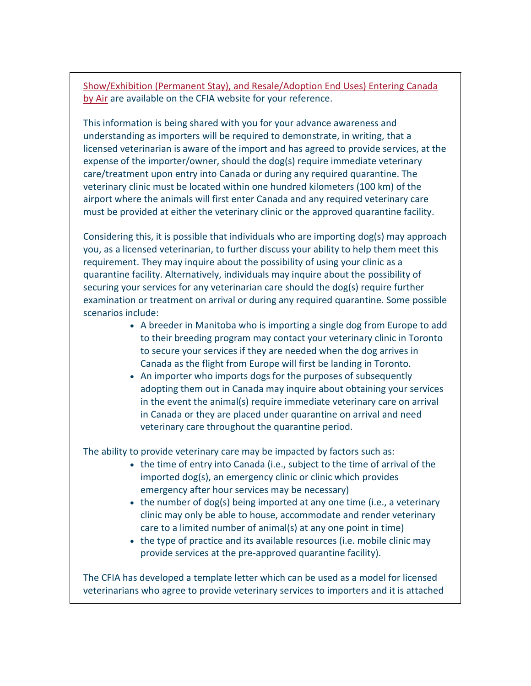[Show/Exhibition \(Permanent Stay\), and Resale/Adoption End Uses\) Entering Canada](https://inspection.canada.ca/animal-health/terrestrial-animals/imports/import-policies/live-animals/commercial-dogs-less-than-8-months/eng/1620147749836/1620147750461)  [by Air](https://inspection.canada.ca/animal-health/terrestrial-animals/imports/import-policies/live-animals/commercial-dogs-less-than-8-months/eng/1620147749836/1620147750461) are available on the CFIA website for your reference.

This information is being shared with you for your advance awareness and understanding as importers will be required to demonstrate, in writing, that a licensed veterinarian is aware of the import and has agreed to provide services, at the expense of the importer/owner, should the dog(s) require immediate veterinary care/treatment upon entry into Canada or during any required quarantine. The veterinary clinic must be located within one hundred kilometers (100 km) of the airport where the animals will first enter Canada and any required veterinary care must be provided at either the veterinary clinic or the approved quarantine facility.

Considering this, it is possible that individuals who are importing dog(s) may approach you, as a licensed veterinarian, to further discuss your ability to help them meet this requirement. They may inquire about the possibility of using your clinic as a quarantine facility. Alternatively, individuals may inquire about the possibility of securing your services for any veterinarian care should the dog(s) require further examination or treatment on arrival or during any required quarantine. Some possible scenarios include:

- A breeder in Manitoba who is importing a single dog from Europe to add to their breeding program may contact your veterinary clinic in Toronto to secure your services if they are needed when the dog arrives in Canada as the flight from Europe will first be landing in Toronto.
- An importer who imports dogs for the purposes of subsequently adopting them out in Canada may inquire about obtaining your services in the event the animal(s) require immediate veterinary care on arrival in Canada or they are placed under quarantine on arrival and need veterinary care throughout the quarantine period.

The ability to provide veterinary care may be impacted by factors such as:

- the time of entry into Canada (i.e., subject to the time of arrival of the imported dog(s), an emergency clinic or clinic which provides emergency after hour services may be necessary)
- the number of dog(s) being imported at any one time (i.e., a veterinary clinic may only be able to house, accommodate and render veterinary care to a limited number of animal(s) at any one point in time)
- the type of practice and its available resources (i.e. mobile clinic may provide services at the pre-approved quarantine facility).

The CFIA has developed a template letter which can be used as a model for licensed veterinarians who agree to provide veterinary services to importers and it is attached